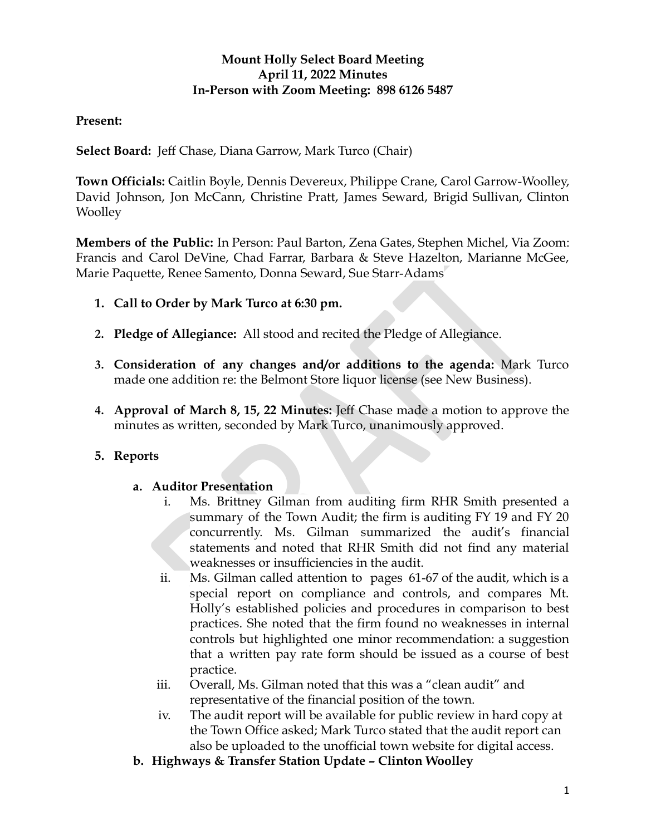## **Mount Holly Select Board Meeting April 11, 2022 Minutes In-Person with Zoom Meeting: 898 6126 5487**

## **Present:**

**Select Board:** Jeff Chase, Diana Garrow, Mark Turco (Chair)

**Town Officials:** Caitlin Boyle, Dennis Devereux, Philippe Crane, Carol Garrow-Woolley, David Johnson, Jon McCann, Christine Pratt, James Seward, Brigid Sullivan, Clinton **Woolley** 

**Members of the Public:** In Person: Paul Barton, Zena Gates, Stephen Michel, Via Zoom: Francis and Carol DeVine, Chad Farrar, Barbara & Steve Hazelton, Marianne McGee, Marie Paquette, Renee Samento, Donna Seward, Sue Starr-Adams

- **1. Call to Order by Mark Turco at 6:30 pm.**
- **2. Pledge of Allegiance:** All stood and recited the Pledge of Allegiance.
- **3. Consideration of any changes and/or additions to the agenda:** Mark Turco made one addition re: the Belmont Store liquor license (see New Business).
- **4. Approval of March 8, 15, 22 Minutes:** Jeff Chase made a motion to approve the minutes as written, seconded by Mark Turco, unanimously approved.

## **5. Reports**

#### **a. Auditor Presentation**

- Carol DeVine, Chad Farrar, Barbara & Steve Hazelton, Marianne Me<br>
the, Renee Samento, Donna Seward, Sue Start-Adams<br> **o Order by Mark Turco at 6:30 pm.**<br> **e of Allegiance:** All stood and recited the Pledge of Allegiance.<br> i. Ms. Brittney Gilman from auditing firm RHR Smith presented a summary of the Town Audit; the firm is auditing FY 19 and FY 20 concurrently. Ms. Gilman summarized the audit's financial statements and noted that RHR Smith did not find any material weaknesses or insufficiencies in the audit.
	- ii. Ms. Gilman called attention to pages 61-67 of the audit, which is a special report on compliance and controls, and compares Mt. Holly's established policies and procedures in comparison to best practices. She noted that the firm found no weaknesses in internal controls but highlighted one minor recommendation: a suggestion that a written pay rate form should be issued as a course of best practice.
	- iii. Overall, Ms. Gilman noted that this was a "clean audit" and representative of the financial position of the town.
	- iv. The audit report will be available for public review in hard copy at the Town Office asked; Mark Turco stated that the audit report can also be uploaded to the unofficial town website for digital access.
- **b. Highways & Transfer Station Update Clinton Woolley**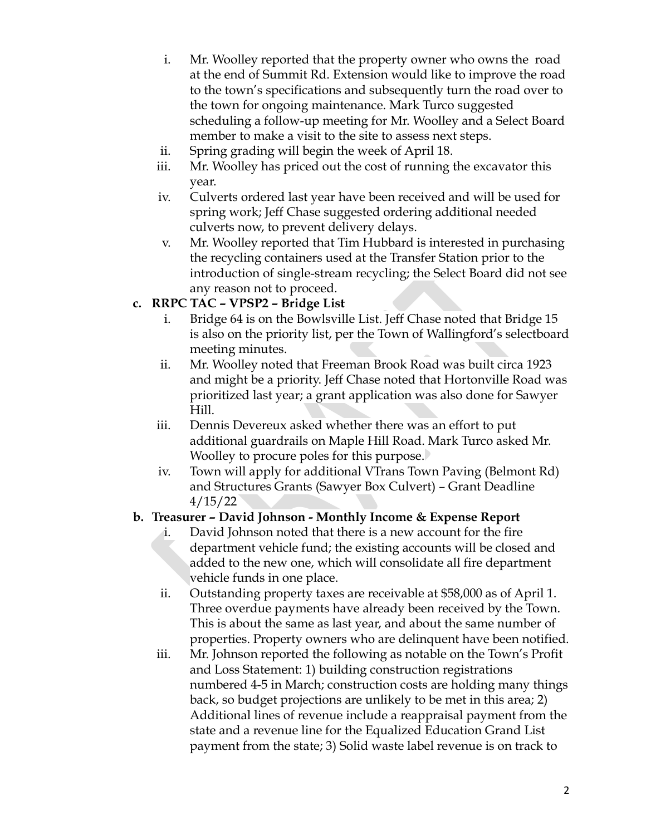- i. Mr. Woolley reported that the property owner who owns the road at the end of Summit Rd. Extension would like to improve the road to the town's specifications and subsequently turn the road over to the town for ongoing maintenance. Mark Turco suggested scheduling a follow-up meeting for Mr. Woolley and a Select Board member to make a visit to the site to assess next steps.
- ii. Spring grading will begin the week of April 18.
- iii. Mr. Woolley has priced out the cost of running the excavator this year.
- iv. Culverts ordered last year have been received and will be used for spring work; Jeff Chase suggested ordering additional needed culverts now, to prevent delivery delays.
- v. Mr. Woolley reported that Tim Hubbard is interested in purchasing the recycling containers used at the Transfer Station prior to the introduction of single-stream recycling; the Select Board did not see any reason not to proceed.

### **c. RRPC TAC – VPSP2 – Bridge List**

- i. Bridge 64 is on the Bowlsville List. Jeff Chase noted that Bridge 15 is also on the priority list, per the Town of Wallingford's selectboard meeting minutes.
- ii. Mr. Woolley noted that Freeman Brook Road was built circa 1923 and might be a priority. Jeff Chase noted that Hortonville Road was prioritized last year; a grant application was also done for Sawyer Hill.
- iii. Dennis Devereux asked whether there was an effort to put additional guardrails on Maple Hill Road. Mark Turco asked Mr. Woolley to procure poles for this purpose.
- iv. Town will apply for additional VTrans Town Paving (Belmont Rd) and Structures Grants (Sawyer Box Culvert) – Grant Deadline 4/15/22

## **b. Treasurer – David Johnson - Monthly Income & Expense Report**

- the recycling containers used at the Transfer Station prior to the<br>
introduction of single-stream recycling; the Select Board did no<br>
any reason not to proceed.<br>
i. Bridge 64 is on the Bowlsville List. Jeff Chase noted tha i. David Johnson noted that there is a new account for the fire department vehicle fund; the existing accounts will be closed and added to the new one, which will consolidate all fire department vehicle funds in one place.
	- ii. Outstanding property taxes are receivable at \$58,000 as of April 1. Three overdue payments have already been received by the Town. This is about the same as last year, and about the same number of properties. Property owners who are delinquent have been notified.
	- iii. Mr. Johnson reported the following as notable on the Town's Profit and Loss Statement: 1) building construction registrations numbered 4-5 in March; construction costs are holding many things back, so budget projections are unlikely to be met in this area; 2) Additional lines of revenue include a reappraisal payment from the state and a revenue line for the Equalized Education Grand List payment from the state; 3) Solid waste label revenue is on track to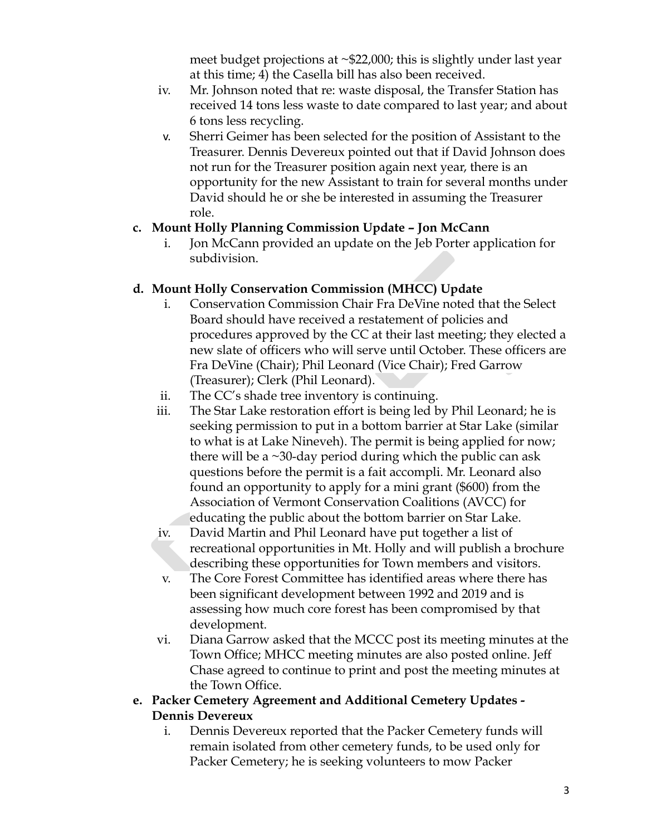meet budget projections at ~\$22,000; this is slightly under last year at this time; 4) the Casella bill has also been received.

- iv. Mr. Johnson noted that re: waste disposal, the Transfer Station has received 14 tons less waste to date compared to last year; and about 6 tons less recycling.
- v. Sherri Geimer has been selected for the position of Assistant to the Treasurer. Dennis Devereux pointed out that if David Johnson does not run for the Treasurer position again next year, there is an opportunity for the new Assistant to train for several months under David should he or she be interested in assuming the Treasurer role.

### **c. Mount Holly Planning Commission Update – Jon McCann**

i. Jon McCann provided an update on the Jeb Porter application for subdivision.

## **d. Mount Holly Conservation Commission (MHCC) Update**

- i. Conservation Commission Chair Fra DeVine noted that the Select Board should have received a restatement of policies and procedures approved by the CC at their last meeting; they elected a new slate of officers who will serve until October. These officers are Fra DeVine (Chair); Phil Leonard (Vice Chair); Fred Garrow (Treasurer); Clerk (Phil Leonard).
- ii. The CC's shade tree inventory is continuing.
- subdivision.<br>
Mount Holly Conservation Commission (MHCC) Update<br>
i. Conservation Commission Chair Fra DeVine noted that the Sel<br>
Board should have received a restatement of policies and<br>
procedures approved by the CC at t iii. The Star Lake restoration effort is being led by Phil Leonard; he is seeking permission to put in a bottom barrier at Star Lake (similar to what is at Lake Nineveh). The permit is being applied for now; there will be a  $\sim$ 30-day period during which the public can ask questions before the permit is a fait accompli. Mr. Leonard also found an opportunity to apply for a mini grant (\$600) from the Association of Vermont Conservation Coalitions (AVCC) for educating the public about the bottom barrier on Star Lake.
	- iv. David Martin and Phil Leonard have put together a list of recreational opportunities in Mt. Holly and will publish a brochure describing these opportunities for Town members and visitors.
	- v. The Core Forest Committee has identified areas where there has been significant development between 1992 and 2019 and is assessing how much core forest has been compromised by that development.
	- vi. Diana Garrow asked that the MCCC post its meeting minutes at the Town Office; MHCC meeting minutes are also posted online. Jeff Chase agreed to continue to print and post the meeting minutes at the Town Office.
- **e. Packer Cemetery Agreement and Additional Cemetery Updates - Dennis Devereux**
	- i. Dennis Devereux reported that the Packer Cemetery funds will remain isolated from other cemetery funds, to be used only for Packer Cemetery; he is seeking volunteers to mow Packer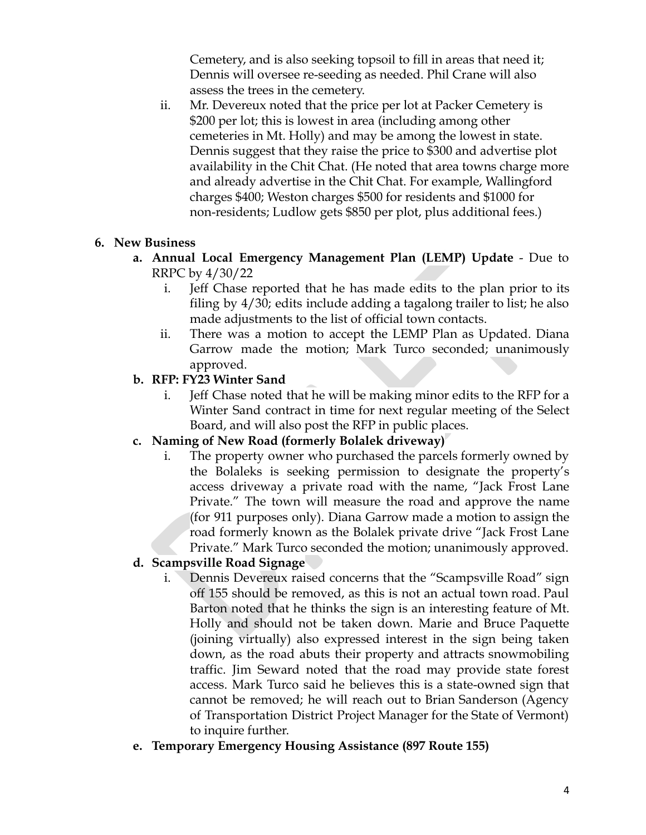Cemetery, and is also seeking topsoil to fill in areas that need it; Dennis will oversee re-seeding as needed. Phil Crane will also assess the trees in the cemetery.

ii. Mr. Devereux noted that the price per lot at Packer Cemetery is \$200 per lot; this is lowest in area (including among other cemeteries in Mt. Holly) and may be among the lowest in state. Dennis suggest that they raise the price to \$300 and advertise plot availability in the Chit Chat. (He noted that area towns charge more and already advertise in the Chit Chat. For example, Wallingford charges \$400; Weston charges \$500 for residents and \$1000 for non-residents; Ludlow gets \$850 per plot, plus additional fees.)

## **6. New Business**

- **a. Annual Local Emergency Management Plan (LEMP) Update** Due to RRPC by 4/30/22
	- i. Jeff Chase reported that he has made edits to the plan prior to its filing by 4/30; edits include adding a tagalong trailer to list; he also made adjustments to the list of official town contacts.
	- ii. There was a motion to accept the LEMP Plan as Updated. Diana Garrow made the motion; Mark Turco seconded; unanimously approved.
- **b. RFP: FY23 Winter Sand**
	- i. Jeff Chase noted that he will be making minor edits to the RFP for a Winter Sand contract in time for next regular meeting of the Select Board, and will also post the RFP in public places.
- **c. Naming of New Road (formerly Bolalek driveway)**
- Annual Local Emergency Management Plan (LEMP) Update Di<br>
RRPC by  $4/30/22$ <br>
i. Jeff Chase reported that he has made edits to the plan prior<br>
filing by  $4/30$ ; edits include adding a tagalong trailer to list; he<br>
made ad i. The property owner who purchased the parcels formerly owned by the Bolaleks is seeking permission to designate the property's access driveway a private road with the name, "Jack Frost Lane Private." The town will measure the road and approve the name (for 911 purposes only). Diana Garrow made a motion to assign the road formerly known as the Bolalek private drive "Jack Frost Lane Private." Mark Turco seconded the motion; unanimously approved.

#### **d. Scampsville Road Signage**

- i. Dennis Devereux raised concerns that the "Scampsville Road" sign off 155 should be removed, as this is not an actual town road. Paul Barton noted that he thinks the sign is an interesting feature of Mt. Holly and should not be taken down. Marie and Bruce Paquette (joining virtually) also expressed interest in the sign being taken down, as the road abuts their property and attracts snowmobiling traffic. Jim Seward noted that the road may provide state forest access. Mark Turco said he believes this is a state-owned sign that cannot be removed; he will reach out to Brian Sanderson (Agency of Transportation District Project Manager for the State of Vermont) to inquire further.
- **e. Temporary Emergency Housing Assistance (897 Route 155)**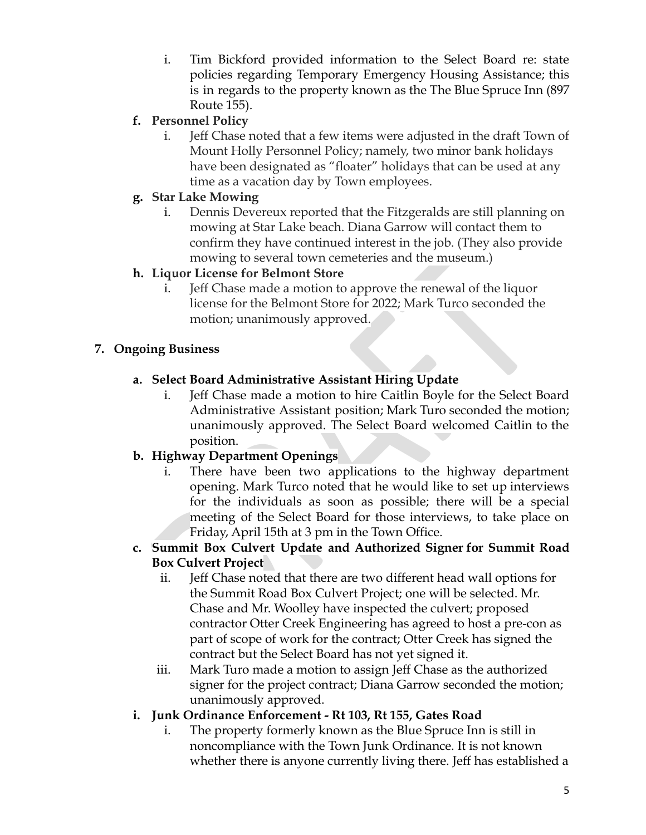- i. Tim Bickford provided information to the Select Board re: state policies regarding Temporary Emergency Housing Assistance; this is in regards to the property known as the The Blue Spruce Inn (897 Route 155).
- **f. Personnel Policy**
	- i. Jeff Chase noted that a few items were adjusted in the draft Town of Mount Holly Personnel Policy; namely, two minor bank holidays have been designated as "floater" holidays that can be used at any time as a vacation day by Town employees.

## **g. Star Lake Mowing**

i. Dennis Devereux reported that the Fitzgeralds are still planning on mowing at Star Lake beach. Diana Garrow will contact them to confirm they have continued interest in the job. (They also provide mowing to several town cemeteries and the museum.)

# **h. Liquor License for Belmont Store**

i. Jeff Chase made a motion to approve the renewal of the liquor license for the Belmont Store for 2022; Mark Turco seconded the motion; unanimously approved.

# **7. Ongoing Business**

- **a. Select Board Administrative Assistant Hiring Update**
	- i. Jeff Chase made a motion to hire Caitlin Boyle for the Select Board Administrative Assistant position; Mark Turo seconded the motion; unanimously approved. The Select Board welcomed Caitlin to the position.

# **b. Highway Department Openings**

mowing to several town cemeteries and the museum.)<br>
1. Liquor License for Belmont Store<br>
i. Jeff Chase made a motion to approve the renewal of the liquor<br>
incense for the Belmont Store for 2022; Mark Turco seconded the<br>
mo i. There have been two applications to the highway department opening. Mark Turco noted that he would like to set up interviews for the individuals as soon as possible; there will be a special meeting of the Select Board for those interviews, to take place on Friday, April 15th at 3 pm in the Town Office.

## **c. Summit Box Culvert Update and Authorized Signer for Summit Road Box Culvert Project**

- ii. Jeff Chase noted that there are two different head wall options for the Summit Road Box Culvert Project; one will be selected. Mr. Chase and Mr. Woolley have inspected the culvert; proposed contractor Otter Creek Engineering has agreed to host a pre-con as part of scope of work for the contract; Otter Creek has signed the contract but the Select Board has not yet signed it.
- iii. Mark Turo made a motion to assign Jeff Chase as the authorized signer for the project contract; Diana Garrow seconded the motion; unanimously approved.

# **i. Junk Ordinance Enforcement - Rt 103, Rt 155, Gates Road**

i. The property formerly known as the Blue Spruce Inn is still in noncompliance with the Town Junk Ordinance. It is not known whether there is anyone currently living there. Jeff has established a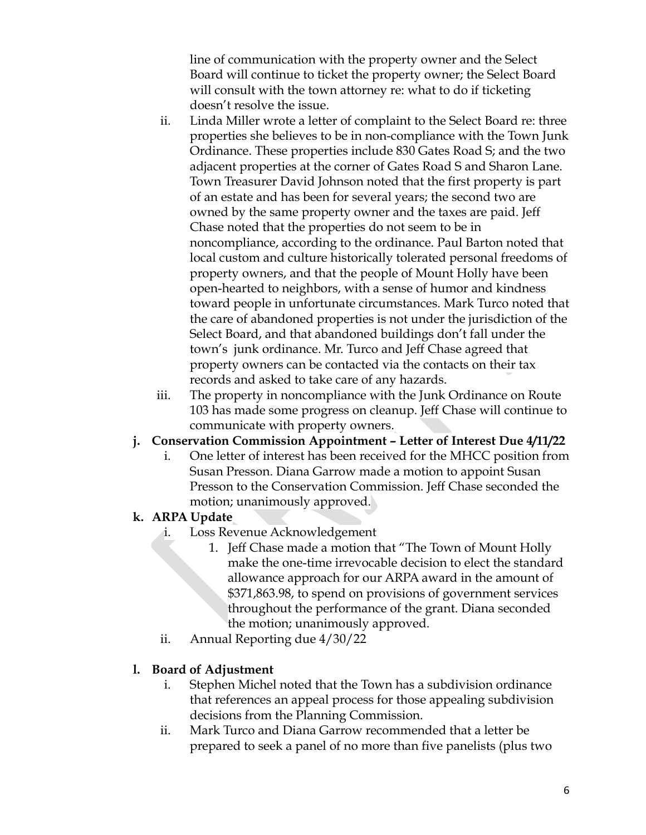line of communication with the property owner and the Select Board will continue to ticket the property owner; the Select Board will consult with the town attorney re: what to do if ticketing doesn't resolve the issue.

- local custom and culture historically tolerated personal freedom<br>property owners, and that the people of Mount Holly have bee<br>open-hearted to neighbors, with a sense of humor and kindnes<br>toward people in unfortunate circu ii. Linda Miller wrote a letter of complaint to the Select Board re: three properties she believes to be in non-compliance with the Town Junk Ordinance. These properties include 830 Gates Road S; and the two adjacent properties at the corner of Gates Road S and Sharon Lane. Town Treasurer David Johnson noted that the first property is part of an estate and has been for several years; the second two are owned by the same property owner and the taxes are paid. Jeff Chase noted that the properties do not seem to be in noncompliance, according to the ordinance. Paul Barton noted that local custom and culture historically tolerated personal freedoms of property owners, and that the people of Mount Holly have been open-hearted to neighbors, with a sense of humor and kindness toward people in unfortunate circumstances. Mark Turco noted that the care of abandoned properties is not under the jurisdiction of the Select Board, and that abandoned buildings don't fall under the town's junk ordinance. Mr. Turco and Jeff Chase agreed that property owners can be contacted via the contacts on their tax records and asked to take care of any hazards.
	- iii. The property in noncompliance with the Junk Ordinance on Route 103 has made some progress on cleanup. Jeff Chase will continue to communicate with property owners.

## **j. Conservation Commission Appointment – Letter of Interest Due 4/11/22**

i. One letter of interest has been received for the MHCC position from Susan Presson. Diana Garrow made a motion to appoint Susan Presson to the Conservation Commission. Jeff Chase seconded the motion; unanimously approved.

## **k. ARPA Update**

- i. Loss Revenue Acknowledgement
	- 1. Jeff Chase made a motion that "The Town of Mount Holly make the one-time irrevocable decision to elect the standard allowance approach for our ARPA award in the amount of \$371,863.98, to spend on provisions of government services throughout the performance of the grant. Diana seconded the motion; unanimously approved.
- ii. Annual Reporting due 4/30/22

## **l. Board of Adjustment**

- i. Stephen Michel noted that the Town has a subdivision ordinance that references an appeal process for those appealing subdivision decisions from the Planning Commission.
- ii. Mark Turco and Diana Garrow recommended that a letter be prepared to seek a panel of no more than five panelists (plus two